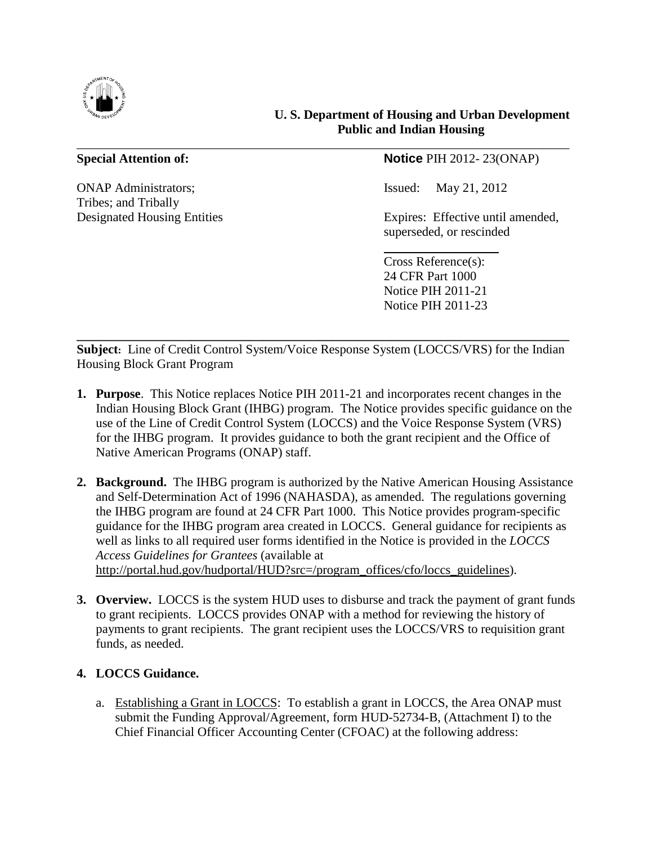

# **U. S. Department of Housing and Urban Development Public and Indian Housing**

ONAP Administrators; Issued: May 21, 2012 Tribes; and Tribally

# **Special Attention of: Notice** PIH 2012-23(ONAP)

Designated Housing Entities Expires: Effective until amended, superseded, or rescinded

> Cross Reference(s): 24 CFR Part 1000 Notice PIH 2011-21 Notice PIH 2011-23

**\_\_\_\_\_\_\_\_\_\_\_\_\_\_\_\_\_\_\_\_\_\_\_\_\_\_\_\_\_\_\_\_\_\_\_\_\_\_\_\_\_\_\_\_\_\_\_\_\_\_\_\_\_\_\_\_\_\_\_\_\_\_\_\_\_\_\_\_\_\_\_\_\_\_\_\_\_ Subject:** Line of Credit Control System/Voice Response System (LOCCS/VRS) for the Indian Housing Block Grant Program

\_\_\_\_\_\_\_\_\_\_\_\_\_\_\_\_\_\_\_\_\_\_\_\_\_\_\_\_\_\_\_\_\_\_\_\_\_\_\_\_\_\_\_\_\_\_\_\_\_\_\_\_\_\_\_\_\_\_\_\_\_\_\_\_\_\_\_\_\_\_\_\_\_\_\_\_\_

- **1. Purpose**. This Notice replaces Notice PIH 2011-21 and incorporates recent changes in the Indian Housing Block Grant (IHBG) program. The Notice provides specific guidance on the use of the Line of Credit Control System (LOCCS) and the Voice Response System (VRS) for the IHBG program. It provides guidance to both the grant recipient and the Office of Native American Programs (ONAP) staff.
- **2. Background.** The IHBG program is authorized by the Native American Housing Assistance and Self-Determination Act of 1996 (NAHASDA), as amended. The regulations governing the IHBG program are found at 24 CFR Part 1000. This Notice provides program-specific guidance for the IHBG program area created in LOCCS. General guidance for recipients as well as links to all required user forms identified in the Notice is provided in the *LOCCS Access Guidelines for Grantees* (available at [http://portal.hud.gov/hudportal/HUD?src=/program\\_offices/cfo/loccs\\_guidelines\)](http://portal.hud.gov/hudportal/HUD?src=/program_offices/cfo/loccs_guidelines).
- **3. Overview.** LOCCS is the system HUD uses to disburse and track the payment of grant funds to grant recipients. LOCCS provides ONAP with a method for reviewing the history of payments to grant recipients. The grant recipient uses the LOCCS/VRS to requisition grant funds, as needed.

# **4. LOCCS Guidance.**

a. Establishing a Grant in LOCCS: To establish a grant in LOCCS, the Area ONAP must submit the Funding Approval/Agreement, form HUD-52734-B, (Attachment I) to the Chief Financial Officer Accounting Center (CFOAC) at the following address: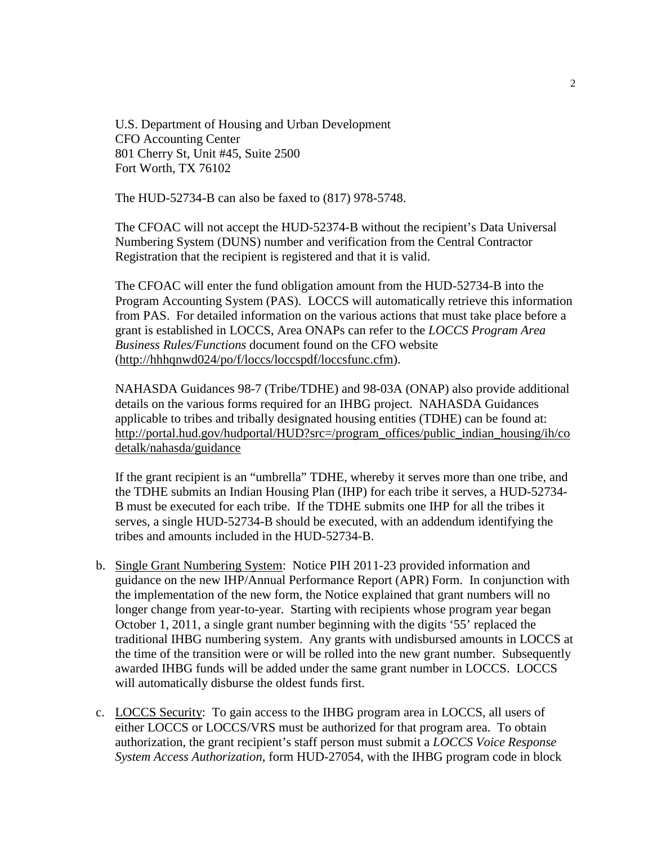U.S. Department of Housing and Urban Development CFO Accounting Center 801 Cherry St, Unit #45, Suite 2500 Fort Worth, TX 76102

The HUD-52734-B can also be faxed to (817) 978-5748.

The CFOAC will not accept the HUD-52374-B without the recipient's Data Universal Numbering System (DUNS) number and verification from the Central Contractor Registration that the recipient is registered and that it is valid.

The CFOAC will enter the fund obligation amount from the HUD-52734-B into the Program Accounting System (PAS). LOCCS will automatically retrieve this information from PAS. For detailed information on the various actions that must take place before a grant is established in LOCCS, Area ONAPs can refer to the *LOCCS Program Area Business Rules/Functions* document found on the CFO website ([http://hhhqnwd024/po/f/loccs/loccspdf/loccsfunc.cfm\)](http://hhhqnwd024/po/f/loccs/loccspdf/loccsfunc.cfm).

NAHASDA Guidances 98-7 (Tribe/TDHE) and 98-03A (ONAP) also provide additional details on the various forms required for an IHBG project. NAHASDA Guidances applicable to tribes and tribally designated housing entities (TDHE) can be found at: [http://portal.hud.gov/hudportal/HUD?src=/program\\_offices/public\\_indian\\_housing/ih/co](http://portal.hud.gov/hudportal/HUD?src=/program_offices/public_indian_housing/ih/codetalk/nahasda/guidance) [detalk/nahasda/guidance](http://portal.hud.gov/hudportal/HUD?src=/program_offices/public_indian_housing/ih/codetalk/nahasda/guidance)

If the grant recipient is an "umbrella" TDHE, whereby it serves more than one tribe, and the TDHE submits an Indian Housing Plan (IHP) for each tribe it serves, a HUD-52734- B must be executed for each tribe. If the TDHE submits one IHP for all the tribes it serves, a single HUD-52734-B should be executed, with an addendum identifying the tribes and amounts included in the HUD-52734-B.

- b. Single Grant Numbering System: Notice PIH 2011-23 provided information and guidance on the new IHP/Annual Performance Report (APR) Form. In conjunction with the implementation of the new form, the Notice explained that grant numbers will no longer change from year-to-year. Starting with recipients whose program year began October 1, 2011, a single grant number beginning with the digits '55' replaced the traditional IHBG numbering system. Any grants with undisbursed amounts in LOCCS at the time of the transition were or will be rolled into the new grant number. Subsequently awarded IHBG funds will be added under the same grant number in LOCCS. LOCCS will automatically disburse the oldest funds first.
- c. LOCCS Security: To gain access to the IHBG program area in LOCCS, all users of either LOCCS or LOCCS/VRS must be authorized for that program area. To obtain authorization, the grant recipient's staff person must submit a *LOCCS Voice Response System Access Authorization*, form HUD-27054, with the IHBG program code in block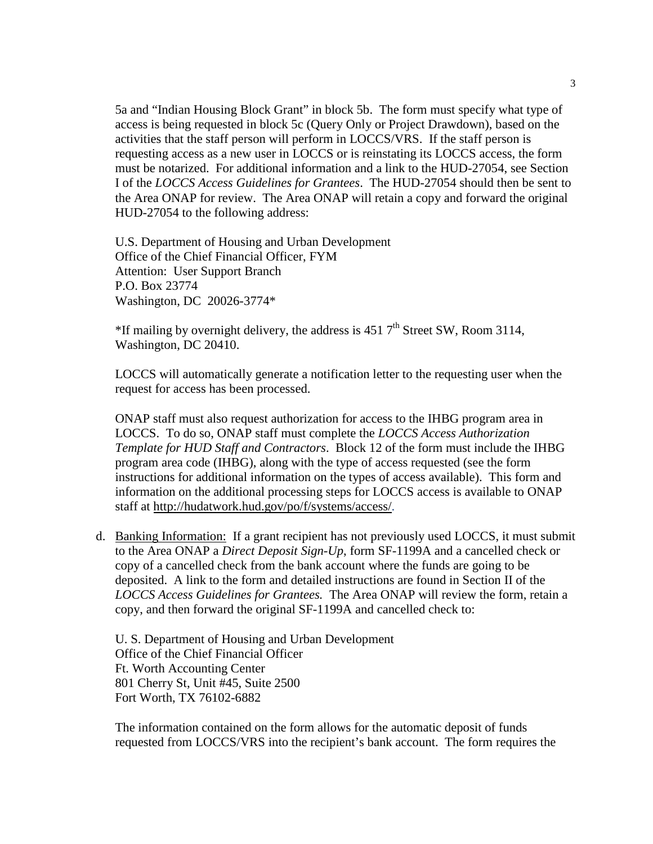5a and "Indian Housing Block Grant" in block 5b. The form must specify what type of access is being requested in block 5c (Query Only or Project Drawdown), based on the activities that the staff person will perform in LOCCS/VRS. If the staff person is requesting access as a new user in LOCCS or is reinstating its LOCCS access, the form must be notarized. For additional information and a link to the HUD-27054, see Section I of the *LOCCS Access Guidelines for Grantees*. The HUD-27054 should then be sent to the Area ONAP for review. The Area ONAP will retain a copy and forward the original HUD-27054 to the following address:

U.S. Department of Housing and Urban Development Office of the Chief Financial Officer, FYM Attention: User Support Branch P.O. Box 23774 Washington, DC 20026-3774\*

<sup>\*</sup>If mailing by overnight delivery, the address is 451  $7<sup>th</sup>$  Street SW, Room 3114, Washington, DC 20410.

LOCCS will automatically generate a notification letter to the requesting user when the request for access has been processed.

ONAP staff must also request authorization for access to the IHBG program area in LOCCS. To do so, ONAP staff must complete the *LOCCS Access Authorization Template for HUD Staff and Contractors*. Block 12 of the form must include the IHBG program area code (IHBG), along with the type of access requested (see the form instructions for additional information on the types of access available). This form and information on the additional processing steps for LOCCS access is available to ONAP staffat<http://hudatwork.hud.gov/po/f/systems/access/>.

d. Banking Information: If a grant recipient has not previously used LOCCS, it must submit to the Area ONAP a *Direct Deposit Sign-Up*, form SF-1199A and a cancelled check or copy of a cancelled check from the bank account where the funds are going to be deposited. A link to the form and detailed instructions are found in Section II of the *LOCCS Access Guidelines for Grantees.* The Area ONAP will review the form, retain a copy, and then forward the original SF-1199A and cancelled check to:

U. S. Department of Housing and Urban Development Office of the Chief Financial Officer Ft. Worth Accounting Center 801 Cherry St, Unit #45, Suite 2500 Fort Worth, TX 76102-6882

The information contained on the form allows for the automatic deposit of funds requested from LOCCS/VRS into the recipient's bank account. The form requires the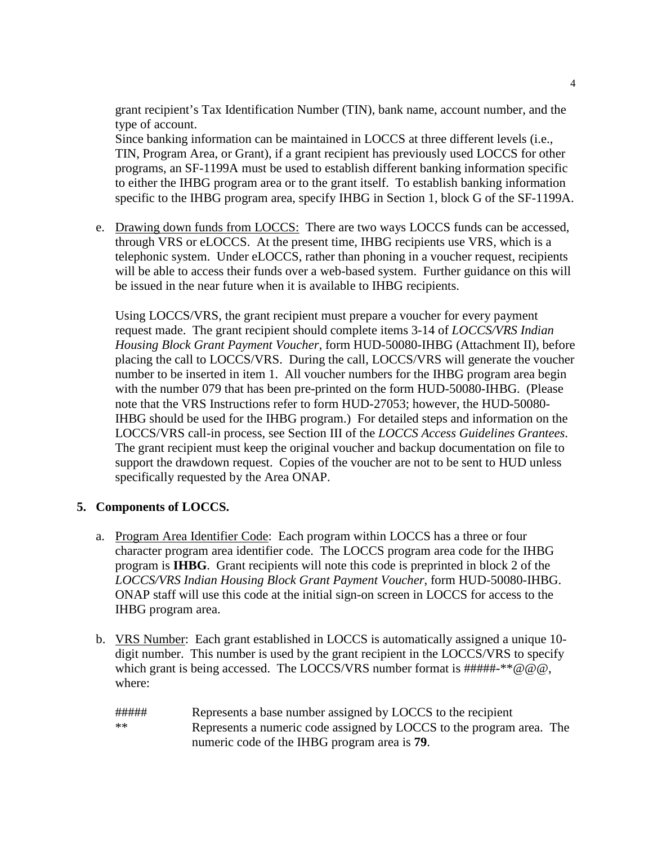grant recipient's Tax Identification Number (TIN), bank name, account number, and the type of account.

Since banking information can be maintained in LOCCS at three different levels (i.e., TIN, Program Area, or Grant), if a grant recipient has previously used LOCCS for other programs, an SF-1199A must be used to establish different banking information specific to either the IHBG program area or to the grant itself. To establish banking information specific to the IHBG program area, specify IHBG in Section 1, block G of the SF-1199A.

e. Drawing down funds from LOCCS: There are two ways LOCCS funds can be accessed, through VRS or eLOCCS. At the present time, IHBG recipients use VRS, which is a telephonic system. Under eLOCCS, rather than phoning in a voucher request, recipients will be able to access their funds over a web-based system. Further guidance on this will be issued in the near future when it is available to IHBG recipients.

Using LOCCS/VRS, the grant recipient must prepare a voucher for every payment request made. The grant recipient should complete items 3-14 of *LOCCS/VRS Indian Housing Block Grant Payment Voucher*, form HUD-50080-IHBG (Attachment II), before placing the call to LOCCS/VRS. During the call, LOCCS/VRS will generate the voucher number to be inserted in item 1. All voucher numbers for the IHBG program area begin with the number 079 that has been pre-printed on the form HUD-50080-IHBG. (Please note that the VRS Instructions refer to form HUD-27053; however, the HUD-50080- IHBG should be used for the IHBG program.) For detailed steps and information on the LOCCS/VRS call-in process, see Section III of the *LOCCS Access Guidelines Grantees*. The grant recipient must keep the original voucher and backup documentation on file to support the drawdown request. Copies of the voucher are not to be sent to HUD unless specifically requested by the Area ONAP.

### **5. Components of LOCCS.**

- a. Program Area Identifier Code: Each program within LOCCS has a three or four character program area identifier code. The LOCCS program area code for the IHBG program is **IHBG**. Grant recipients will note this code is preprinted in block 2 of the *LOCCS/VRS Indian Housing Block Grant Payment Voucher*, form HUD-50080-IHBG. ONAP staff will use this code at the initial sign-on screen in LOCCS for access to the IHBG program area.
- b. VRS Number: Each grant established in LOCCS is automatically assigned a unique 10 digit number. This number is used by the grant recipient in the LOCCS/VRS to specify which grant is being accessed. The LOCCS/VRS number format is  $\# \# \# \# \ast \otimes \omega$ . where:
	- ##### Represents a base number assigned by LOCCS to the recipient \*\* Represents a numeric code assigned by LOCCS to the program area. The numeric code of the IHBG program area is **79**.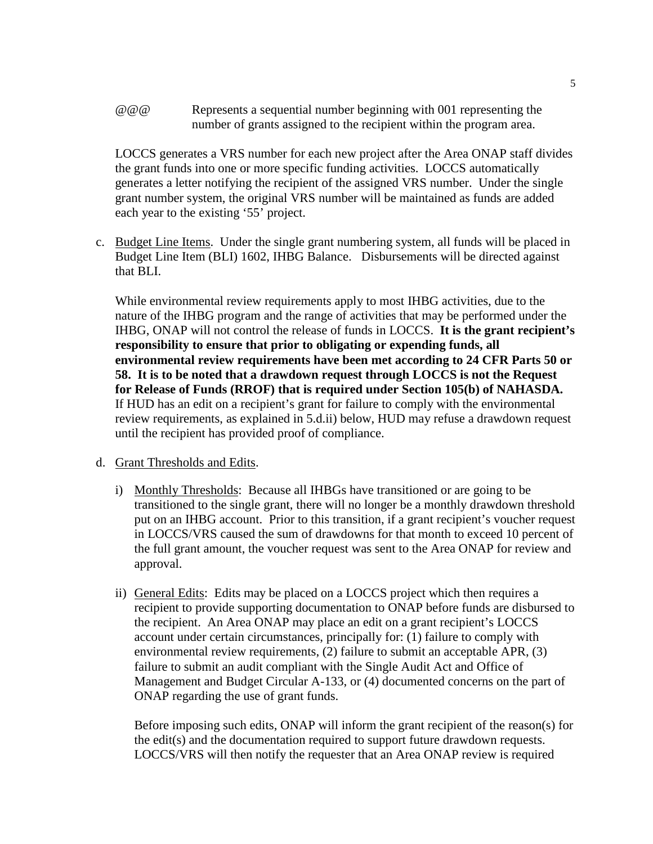@@@ Represents a sequential number beginning with 001 representing the number of grants assigned to the recipient within the program area.

LOCCS generates a VRS number for each new project after the Area ONAP staff divides the grant funds into one or more specific funding activities. LOCCS automatically generates a letter notifying the recipient of the assigned VRS number. Under the single grant number system, the original VRS number will be maintained as funds are added each year to the existing '55' project.

c. Budget Line Items. Under the single grant numbering system, all funds will be placed in Budget Line Item (BLI) 1602, IHBG Balance. Disbursements will be directed against that BLI.

While environmental review requirements apply to most IHBG activities, due to the nature of the IHBG program and the range of activities that may be performed under the IHBG, ONAP will not control the release of funds in LOCCS. **It is the grant recipient's responsibility to ensure that prior to obligating or expending funds, all environmental review requirements have been met according to 24 CFR Parts 50 or 58. It is to be noted that a drawdown request through LOCCS is not the Request for Release of Funds (RROF) that is required under Section 105(b) of NAHASDA.** If HUD has an edit on a recipient's grant for failure to comply with the environmental review requirements, as explained in 5.d.ii) below, HUD may refuse a drawdown request until the recipient has provided proof of compliance.

#### d. Grant Thresholds and Edits.

- i) Monthly Thresholds: Because all IHBGs have transitioned or are going to be transitioned to the single grant, there will no longer be a monthly drawdown threshold put on an IHBG account. Prior to this transition, if a grant recipient's voucher request in LOCCS/VRS caused the sum of drawdowns for that month to exceed 10 percent of the full grant amount, the voucher request was sent to the Area ONAP for review and approval.
- ii) General Edits: Edits may be placed on a LOCCS project which then requires a recipient to provide supporting documentation to ONAP before funds are disbursed to the recipient. An Area ONAP may place an edit on a grant recipient's LOCCS account under certain circumstances, principally for: (1) failure to comply with environmental review requirements, (2) failure to submit an acceptable APR, (3) failure to submit an audit compliant with the Single Audit Act and Office of Management and Budget Circular A-133, or (4) documented concerns on the part of ONAP regarding the use of grant funds.

Before imposing such edits, ONAP will inform the grant recipient of the reason(s) for the edit(s) and the documentation required to support future drawdown requests. LOCCS/VRS will then notify the requester that an Area ONAP review is required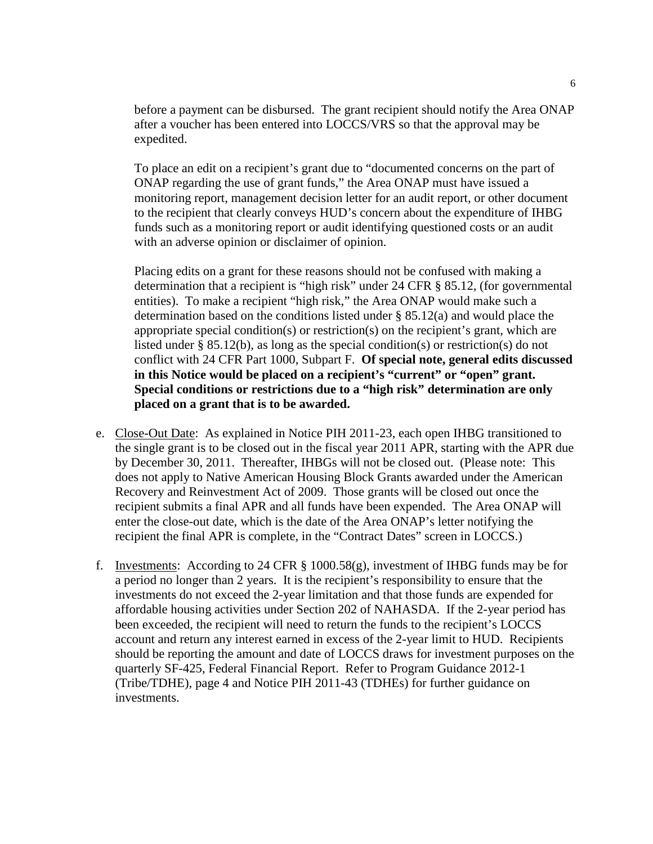before a payment can be disbursed. The grant recipient should notify the Area ONAP after a voucher has been entered into LOCCS/VRS so that the approval may be expedited.

To place an edit on a recipient's grant due to "documented concerns on the part of ONAP regarding the use of grant funds," the Area ONAP must have issued a monitoring report, management decision letter for an audit report, or other document to the recipient that clearly conveys HUD's concern about the expenditure of IHBG funds such as a monitoring report or audit identifying questioned costs or an audit with an adverse opinion or disclaimer of opinion.

Placing edits on a grant for these reasons should not be confused with making a determination that a recipient is "high risk" under 24 CFR § 85.12, (for governmental entities). To make a recipient "high risk," the Area ONAP would make such a determination based on the conditions listed under § 85.12(a) and would place the appropriate special condition(s) or restriction(s) on the recipient's grant, which are listed under § 85.12(b), as long as the special condition(s) or restriction(s) do not conflict with 24 CFR Part 1000, Subpart F. **Of special note, general edits discussed in this Notice would be placed on a recipient's "current" or "open" grant. Special conditions or restrictions due to a "high risk" determination are only placed on a grant that is to be awarded.**

- e. Close-Out Date: As explained in Notice PIH 2011-23, each open IHBG transitioned to the single grant is to be closed out in the fiscal year 2011 APR, starting with the APR due by December 30, 2011. Thereafter, IHBGs will not be closed out. (Please note: This does not apply to Native American Housing Block Grants awarded under the American Recovery and Reinvestment Act of 2009. Those grants will be closed out once the recipient submits a final APR and all funds have been expended. The Area ONAP will enter the close-out date, which is the date of the Area ONAP's letter notifying the recipient the final APR is complete, in the "Contract Dates" screen in LOCCS.)
- f. Investments: According to 24 CFR  $\S$  1000.58(g), investment of IHBG funds may be for a period no longer than 2 years. It is the recipient's responsibility to ensure that the investments do not exceed the 2-year limitation and that those funds are expended for affordable housing activities under Section 202 of NAHASDA. If the 2-year period has been exceeded, the recipient will need to return the funds to the recipient's LOCCS account and return any interest earned in excess of the 2-year limit to HUD. Recipients should be reporting the amount and date of LOCCS draws for investment purposes on the quarterly SF-425, Federal Financial Report. Refer to Program Guidance 2012-1 (Tribe/TDHE), page 4 and Notice PIH 2011-43 (TDHEs) for further guidance on investments.